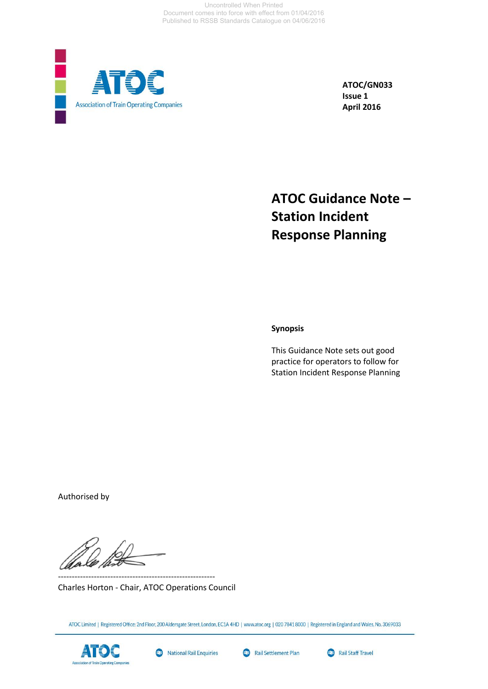Uncontrolled When Printed Document comes into force with effect from 01/04/2016 Published to RSSB Standards Catalogue on 04/06/2016



**ATOC/GN033 Issue 1 April 2016**

# **ATOC Guidance Note – Station Incident Response Planning**

**Synopsis**

This Guidance Note sets out good practice for operators to follow for Station Incident Response Planning

Authorised by

Charles Horton - Chair, ATOC Operations Council

---------------------------------------------------------

ATOC Limited | Registered Office: 2nd Floor, 200 Aldersgate Street, London, EC1A 4HD | www.atoc.org | 020 7841 8000 | Registered in England and Wales, No. 3069033



National Rail Enquiries



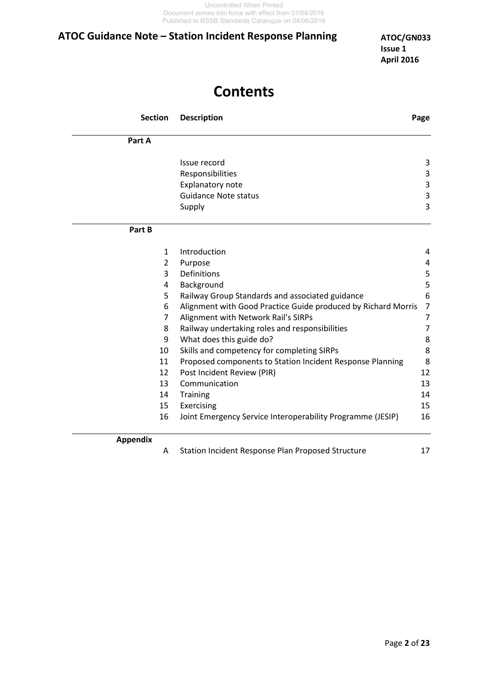# **Contents**

| <b>Section</b>  | <b>Description</b>                                            | Page           |
|-----------------|---------------------------------------------------------------|----------------|
| Part A          |                                                               |                |
|                 | Issue record                                                  | 3              |
|                 | Responsibilities                                              | 3              |
|                 | Explanatory note                                              | 3              |
|                 | <b>Guidance Note status</b>                                   | 3              |
|                 | Supply                                                        | 3              |
| Part B          |                                                               |                |
| 1               | Introduction                                                  | 4              |
| 2               | Purpose                                                       | 4              |
| 3               | Definitions                                                   | 5              |
| 4               | Background                                                    | 5              |
| 5               | Railway Group Standards and associated guidance               | 6              |
| 6               | Alignment with Good Practice Guide produced by Richard Morris | $\overline{7}$ |
| 7               | Alignment with Network Rail's SIRPs                           | $\overline{7}$ |
| 8               | Railway undertaking roles and responsibilities                | $\overline{7}$ |
| 9               | What does this guide do?                                      | 8              |
| 10              | Skills and competency for completing SIRPs                    | 8              |
| 11              | Proposed components to Station Incident Response Planning     | 8              |
| 12              | Post Incident Review (PIR)                                    | 12             |
| 13              | Communication                                                 | 13             |
| 14              | Training                                                      | 14             |
| 15              | Exercising                                                    | 15             |
| 16              | Joint Emergency Service Interoperability Programme (JESIP)    | 16             |
| <b>Appendix</b> |                                                               |                |

A Station Incident Response Plan Proposed Structure 17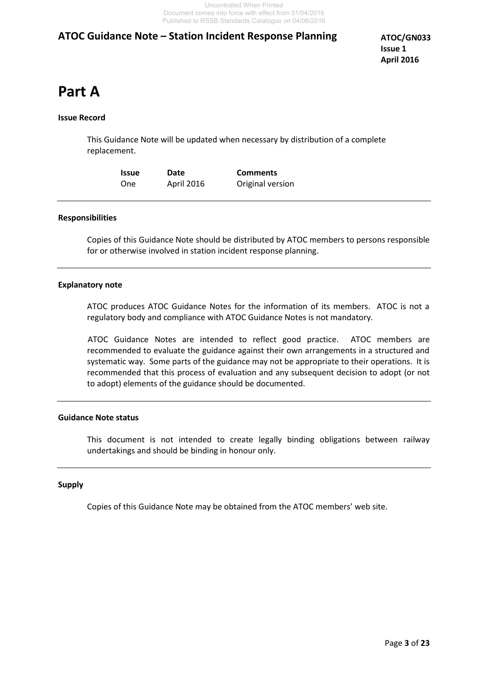# **Part A**

#### **Issue Record**

This Guidance Note will be updated when necessary by distribution of a complete replacement.

| Issue | <b>Date</b> | <b>Comments</b>  |
|-------|-------------|------------------|
| One   | April 2016  | Original version |

#### **Responsibilities**

Copies of this Guidance Note should be distributed by ATOC members to persons responsible for or otherwise involved in station incident response planning.

#### **Explanatory note**

ATOC produces ATOC Guidance Notes for the information of its members. ATOC is not a regulatory body and compliance with ATOC Guidance Notes is not mandatory.

 ATOC Guidance Notes are intended to reflect good practice. ATOC members are recommended to evaluate the guidance against their own arrangements in a structured and systematic way. Some parts of the guidance may not be appropriate to their operations. It is recommended that this process of evaluation and any subsequent decision to adopt (or not to adopt) elements of the guidance should be documented.

#### **Guidance Note status**

This document is not intended to create legally binding obligations between railway undertakings and should be binding in honour only.

#### **Supply**

Copies of this Guidance Note may be obtained from the ATOC members' web site.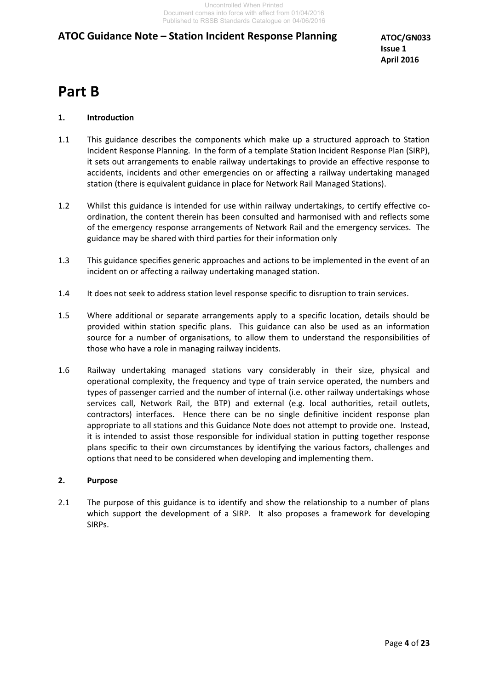**ATOC/GN033 Issue 1 April 2016**

# **Part B**

#### **1. Introduction**

- 1.1 This guidance describes the components which make up a structured approach to Station Incident Response Planning. In the form of a template Station Incident Response Plan (SIRP), it sets out arrangements to enable railway undertakings to provide an effective response to accidents, incidents and other emergencies on or affecting a railway undertaking managed station (there is equivalent guidance in place for Network Rail Managed Stations).
- 1.2 Whilst this guidance is intended for use within railway undertakings, to certify effective coordination, the content therein has been consulted and harmonised with and reflects some of the emergency response arrangements of Network Rail and the emergency services. The guidance may be shared with third parties for their information only
- 1.3 This guidance specifies generic approaches and actions to be implemented in the event of an incident on or affecting a railway undertaking managed station.
- 1.4 It does not seek to address station level response specific to disruption to train services.
- 1.5 Where additional or separate arrangements apply to a specific location, details should be provided within station specific plans. This guidance can also be used as an information source for a number of organisations, to allow them to understand the responsibilities of those who have a role in managing railway incidents.
- 1.6 Railway undertaking managed stations vary considerably in their size, physical and operational complexity, the frequency and type of train service operated, the numbers and types of passenger carried and the number of internal (i.e. other railway undertakings whose services call, Network Rail, the BTP) and external (e.g. local authorities, retail outlets, contractors) interfaces. Hence there can be no single definitive incident response plan appropriate to all stations and this Guidance Note does not attempt to provide one. Instead, it is intended to assist those responsible for individual station in putting together response plans specific to their own circumstances by identifying the various factors, challenges and options that need to be considered when developing and implementing them.

#### **2. Purpose**

2.1 The purpose of this guidance is to identify and show the relationship to a number of plans which support the development of a SIRP. It also proposes a framework for developing SIRPs.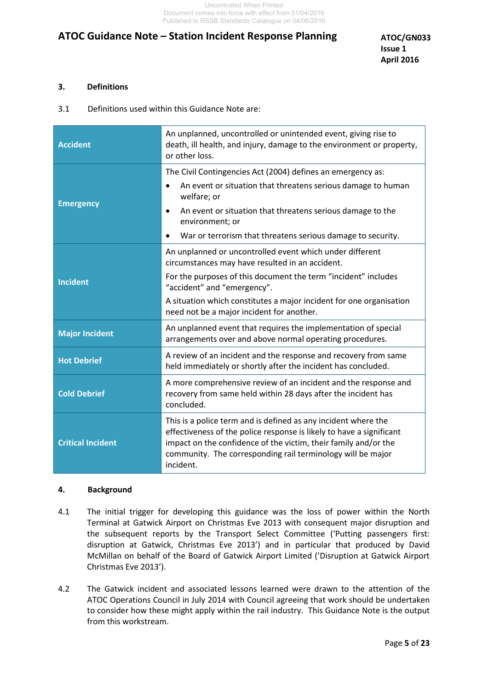#### **3. Definitions**

3.1 Definitions used within this Guidance Note are:

| <b>Accident</b>          | An unplanned, uncontrolled or unintended event, giving rise to<br>death, ill health, and injury, damage to the environment or property,<br>or other loss.                                                                                                                             |  |  |
|--------------------------|---------------------------------------------------------------------------------------------------------------------------------------------------------------------------------------------------------------------------------------------------------------------------------------|--|--|
|                          | The Civil Contingencies Act (2004) defines an emergency as:                                                                                                                                                                                                                           |  |  |
|                          | An event or situation that threatens serious damage to human<br>welfare; or                                                                                                                                                                                                           |  |  |
| <b>Emergency</b>         | An event or situation that threatens serious damage to the<br>$\bullet$<br>environment; or                                                                                                                                                                                            |  |  |
|                          | War or terrorism that threatens serious damage to security.                                                                                                                                                                                                                           |  |  |
| <b>Incident</b>          | An unplanned or uncontrolled event which under different<br>circumstances may have resulted in an accident.                                                                                                                                                                           |  |  |
|                          | For the purposes of this document the term "incident" includes<br>"accident" and "emergency".                                                                                                                                                                                         |  |  |
|                          | A situation which constitutes a major incident for one organisation<br>need not be a major incident for another.                                                                                                                                                                      |  |  |
| <b>Major Incident</b>    | An unplanned event that requires the implementation of special<br>arrangements over and above normal operating procedures.                                                                                                                                                            |  |  |
| <b>Hot Debrief</b>       | A review of an incident and the response and recovery from same<br>held immediately or shortly after the incident has concluded.                                                                                                                                                      |  |  |
| <b>Cold Debrief</b>      | A more comprehensive review of an incident and the response and<br>recovery from same held within 28 days after the incident has<br>concluded.                                                                                                                                        |  |  |
| <b>Critical Incident</b> | This is a police term and is defined as any incident where the<br>effectiveness of the police response is likely to have a significant<br>impact on the confidence of the victim, their family and/or the<br>community. The corresponding rail terminology will be major<br>incident. |  |  |

#### **4. Background**

- 4.1 The initial trigger for developing this guidance was the loss of power within the North Terminal at Gatwick Airport on Christmas Eve 2013 with consequent major disruption and the subsequent reports by the Transport Select Committee ('Putting passengers first: disruption at Gatwick, Christmas Eve 2013') and in particular that produced by David McMillan on behalf of the Board of Gatwick Airport Limited ('Disruption at Gatwick Airport Christmas Eve 2013').
- 4.2 The Gatwick incident and associated lessons learned were drawn to the attention of the ATOC Operations Council in July 2014 with Council agreeing that work should be undertaken to consider how these might apply within the rail industry. This Guidance Note is the output from this workstream.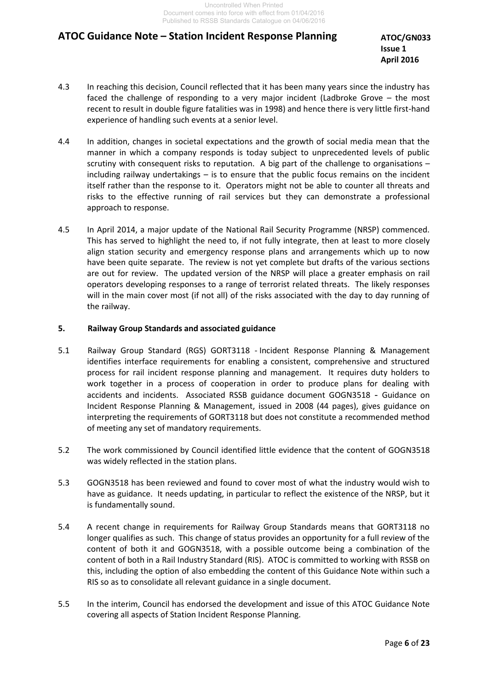**ATOC/GN033 Issue 1 April 2016**

- 4.3 In reaching this decision, Council reflected that it has been many years since the industry has faced the challenge of responding to a very major incident (Ladbroke Grove – the most recent to result in double figure fatalities was in 1998) and hence there is very little first-hand experience of handling such events at a senior level.
- 4.4 In addition, changes in societal expectations and the growth of social media mean that the manner in which a company responds is today subject to unprecedented levels of public scrutiny with consequent risks to reputation. A big part of the challenge to organisations – including railway undertakings – is to ensure that the public focus remains on the incident itself rather than the response to it. Operators might not be able to counter all threats and risks to the effective running of rail services but they can demonstrate a professional approach to response.
- 4.5 In April 2014, a major update of the National Rail Security Programme (NRSP) commenced. This has served to highlight the need to, if not fully integrate, then at least to more closely align station security and emergency response plans and arrangements which up to now have been quite separate. The review is not yet complete but drafts of the various sections are out for review. The updated version of the NRSP will place a greater emphasis on rail operators developing responses to a range of terrorist related threats. The likely responses will in the main cover most (if not all) of the risks associated with the day to day running of the railway.

#### **5. Railway Group Standards and associated guidance**

- 5.1 Railway Group Standard (RGS) GORT3118 Incident Response Planning & Management identifies interface requirements for enabling a consistent, comprehensive and structured process for rail incident response planning and management. It requires duty holders to work together in a process of cooperation in order to produce plans for dealing with accidents and incidents. Associated RSSB guidance document GOGN3518 - Guidance on Incident Response Planning & Management, issued in 2008 (44 pages), gives guidance on interpreting the requirements of GORT3118 but does not constitute a recommended method of meeting any set of mandatory requirements.
- 5.2 The work commissioned by Council identified little evidence that the content of GOGN3518 was widely reflected in the station plans.
- 5.3 GOGN3518 has been reviewed and found to cover most of what the industry would wish to have as guidance. It needs updating, in particular to reflect the existence of the NRSP, but it is fundamentally sound.
- 5.4 A recent change in requirements for Railway Group Standards means that GORT3118 no longer qualifies as such. This change of status provides an opportunity for a full review of the content of both it and GOGN3518, with a possible outcome being a combination of the content of both in a Rail Industry Standard (RIS). ATOC is committed to working with RSSB on this, including the option of also embedding the content of this Guidance Note within such a RIS so as to consolidate all relevant guidance in a single document.
- 5.5 In the interim, Council has endorsed the development and issue of this ATOC Guidance Note covering all aspects of Station Incident Response Planning.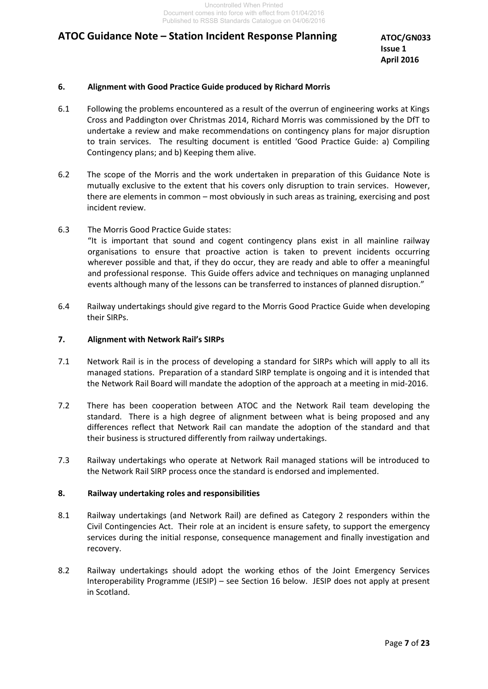**ATOC/GN033 Issue 1 April 2016**

#### **6. Alignment with Good Practice Guide produced by Richard Morris**

- 6.1 Following the problems encountered as a result of the overrun of engineering works at Kings Cross and Paddington over Christmas 2014, Richard Morris was commissioned by the DfT to undertake a review and make recommendations on contingency plans for major disruption to train services. The resulting document is entitled 'Good Practice Guide: a) Compiling Contingency plans; and b) Keeping them alive.
- 6.2 The scope of the Morris and the work undertaken in preparation of this Guidance Note is mutually exclusive to the extent that his covers only disruption to train services. However, there are elements in common – most obviously in such areas as training, exercising and post incident review.
- 6.3 The Morris Good Practice Guide states: "It is important that sound and cogent contingency plans exist in all mainline railway organisations to ensure that proactive action is taken to prevent incidents occurring wherever possible and that, if they do occur, they are ready and able to offer a meaningful and professional response. This Guide offers advice and techniques on managing unplanned events although many of the lessons can be transferred to instances of planned disruption."
- 6.4 Railway undertakings should give regard to the Morris Good Practice Guide when developing their SIRPs.

#### **7. Alignment with Network Rail's SIRPs**

- 7.1 Network Rail is in the process of developing a standard for SIRPs which will apply to all its managed stations. Preparation of a standard SIRP template is ongoing and it is intended that the Network Rail Board will mandate the adoption of the approach at a meeting in mid-2016.
- 7.2 There has been cooperation between ATOC and the Network Rail team developing the standard. There is a high degree of alignment between what is being proposed and any differences reflect that Network Rail can mandate the adoption of the standard and that their business is structured differently from railway undertakings.
- 7.3 Railway undertakings who operate at Network Rail managed stations will be introduced to the Network Rail SIRP process once the standard is endorsed and implemented.

#### **8. Railway undertaking roles and responsibilities**

- 8.1 Railway undertakings (and Network Rail) are defined as Category 2 responders within the Civil Contingencies Act. Their role at an incident is ensure safety, to support the emergency services during the initial response, consequence management and finally investigation and recovery.
- 8.2 Railway undertakings should adopt the working ethos of the Joint Emergency Services Interoperability Programme (JESIP) – see Section 16 below. JESIP does not apply at present in Scotland.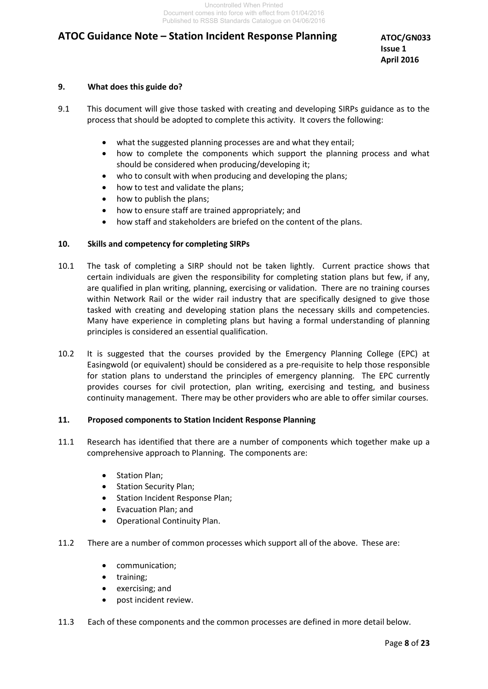**ATOC/GN033 Issue 1 April 2016**

#### **9. What does this guide do?**

- 9.1 This document will give those tasked with creating and developing SIRPs guidance as to the process that should be adopted to complete this activity. It covers the following:
	- what the suggested planning processes are and what they entail;
	- how to complete the components which support the planning process and what should be considered when producing/developing it;
	- who to consult with when producing and developing the plans;
	- how to test and validate the plans;
	- how to publish the plans;
	- how to ensure staff are trained appropriately; and
	- how staff and stakeholders are briefed on the content of the plans.

#### **10. Skills and competency for completing SIRPs**

- 10.1 The task of completing a SIRP should not be taken lightly. Current practice shows that certain individuals are given the responsibility for completing station plans but few, if any, are qualified in plan writing, planning, exercising or validation. There are no training courses within Network Rail or the wider rail industry that are specifically designed to give those tasked with creating and developing station plans the necessary skills and competencies. Many have experience in completing plans but having a formal understanding of planning principles is considered an essential qualification.
- 10.2 It is suggested that the courses provided by the Emergency Planning College (EPC) at Easingwold (or equivalent) should be considered as a pre-requisite to help those responsible for station plans to understand the principles of emergency planning. The EPC currently provides courses for civil protection, plan writing, exercising and testing, and business continuity management. There may be other providers who are able to offer similar courses.

#### **11. Proposed components to Station Incident Response Planning**

- 11.1 Research has identified that there are a number of components which together make up a comprehensive approach to Planning. The components are:
	- Station Plan;
	- Station Security Plan;
	- Station Incident Response Plan;
	- Evacuation Plan; and
	- Operational Continuity Plan.
- 11.2 There are a number of common processes which support all of the above. These are:
	- communication;
	- training;
	- exercising; and
	- post incident review.
- 11.3 Each of these components and the common processes are defined in more detail below.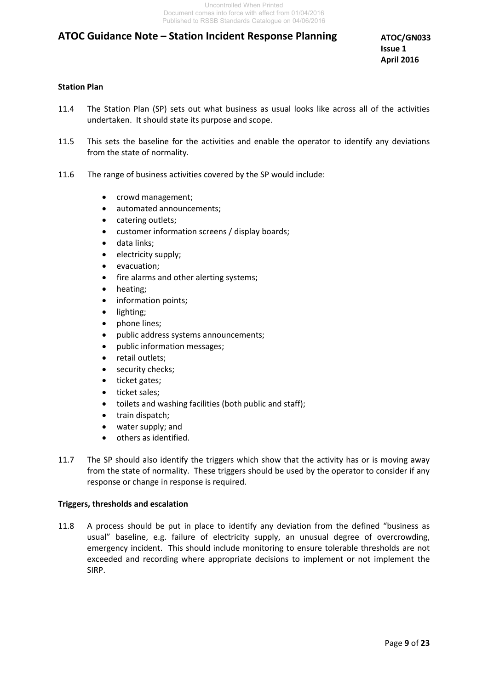**ATOC/GN033 Issue 1 April 2016**

#### **Station Plan**

- 11.4 The Station Plan (SP) sets out what business as usual looks like across all of the activities undertaken. It should state its purpose and scope.
- 11.5 This sets the baseline for the activities and enable the operator to identify any deviations from the state of normality.
- 11.6 The range of business activities covered by the SP would include:
	- crowd management;
	- automated announcements;
	- catering outlets;
	- customer information screens / display boards;
	- data links;
	- electricity supply;
	- evacuation;
	- fire alarms and other alerting systems;
	- heating;
	- information points:
	- lighting;
	- phone lines;
	- public address systems announcements;
	- public information messages;
	- retail outlets;
	- security checks;
	- ticket gates;
	- ticket sales;
	- toilets and washing facilities (both public and staff);
	- train dispatch;
	- water supply; and
	- others as identified.
- 11.7 The SP should also identify the triggers which show that the activity has or is moving away from the state of normality. These triggers should be used by the operator to consider if any response or change in response is required.

#### **Triggers, thresholds and escalation**

11.8 A process should be put in place to identify any deviation from the defined "business as usual" baseline, e.g. failure of electricity supply, an unusual degree of overcrowding, emergency incident. This should include monitoring to ensure tolerable thresholds are not exceeded and recording where appropriate decisions to implement or not implement the SIRP.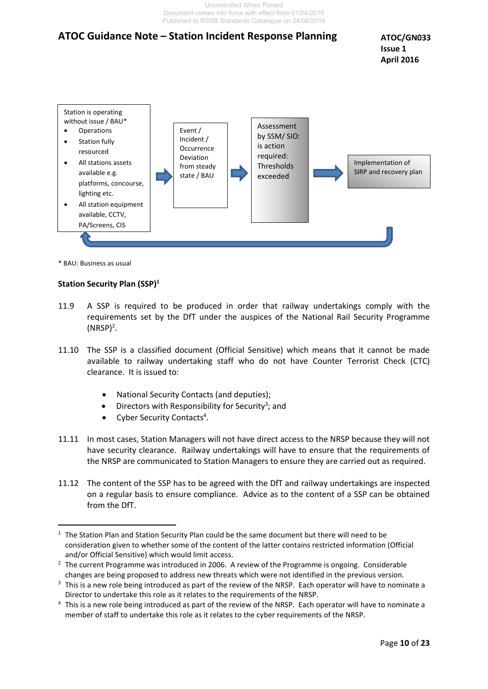Uncontrolled When Printed Document comes into force with effect from 01/04/2016 Published to RSSB Standards Catalogue on 04/06/2016

### **ATOC Guidance Note – Station Incident Response Planning**





\* BAU: Business as usual

#### **Station Security Plan (SSP)<sup>1</sup>**

- 11.9 A SSP is required to be produced in order that railway undertakings comply with the requirements set by the DfT under the auspices of the National Rail Security Programme  $(NRSP)^2$ .
- 11.10 The SSP is a classified document (Official Sensitive) which means that it cannot be made available to railway undertaking staff who do not have Counter Terrorist Check (CTC) clearance. It is issued to:
	- National Security Contacts (and deputies);
	- $\bullet$  Directors with Responsibility for Security<sup>3</sup>; and
	- Cyber Security Contacts<sup>4</sup>.
- 11.11 In most cases, Station Managers will not have direct access to the NRSP because they will not have security clearance. Railway undertakings will have to ensure that the requirements of the NRSP are communicated to Station Managers to ensure they are carried out as required.
- 11.12 The content of the SSP has to be agreed with the DfT and railway undertakings are inspected on a regular basis to ensure compliance. Advice as to the content of a SSP can be obtained from the DfT.

 $\overline{a}$ <sup>1</sup> The Station Plan and Station Security Plan could be the same document but there will need to be consideration given to whether some of the content of the latter contains restricted information (Official and/or Official Sensitive) which would limit access.

<sup>&</sup>lt;sup>2</sup> The current Programme was introduced in 2006. A review of the Programme is ongoing. Considerable changes are being proposed to address new threats which were not identified in the previous version.

 $3$  This is a new role being introduced as part of the review of the NRSP. Each operator will have to nominate a Director to undertake this role as it relates to the requirements of the NRSP.

<sup>&</sup>lt;sup>4</sup> This is a new role being introduced as part of the review of the NRSP. Each operator will have to nominate a member of staff to undertake this role as it relates to the cyber requirements of the NRSP.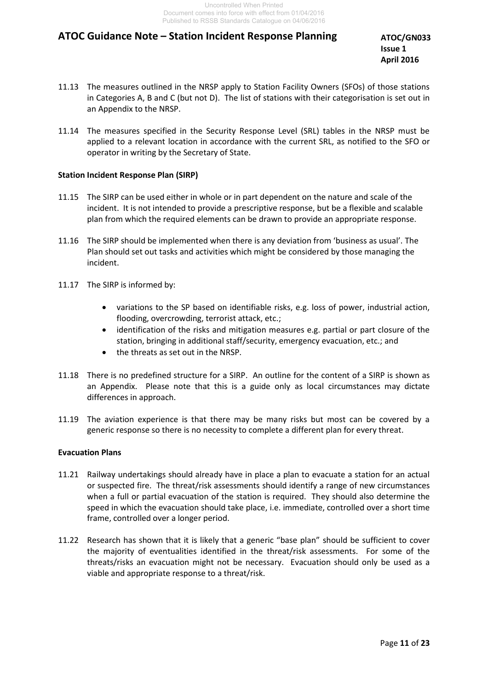**ATOC/GN033 Issue 1 April 2016**

- 11.13 The measures outlined in the NRSP apply to Station Facility Owners (SFOs) of those stations in Categories A, B and C (but not D). The list of stations with their categorisation is set out in an Appendix to the NRSP.
- 11.14 The measures specified in the Security Response Level (SRL) tables in the NRSP must be applied to a relevant location in accordance with the current SRL, as notified to the SFO or operator in writing by the Secretary of State.

#### **Station Incident Response Plan (SIRP)**

- 11.15 The SIRP can be used either in whole or in part dependent on the nature and scale of the incident. It is not intended to provide a prescriptive response, but be a flexible and scalable plan from which the required elements can be drawn to provide an appropriate response.
- 11.16 The SIRP should be implemented when there is any deviation from 'business as usual'. The Plan should set out tasks and activities which might be considered by those managing the incident.
- 11.17 The SIRP is informed by:
	- variations to the SP based on identifiable risks, e.g. loss of power, industrial action, flooding, overcrowding, terrorist attack, etc.;
	- identification of the risks and mitigation measures e.g. partial or part closure of the station, bringing in additional staff/security, emergency evacuation, etc.; and
	- the threats as set out in the NRSP.
- 11.18 There is no predefined structure for a SIRP. An outline for the content of a SIRP is shown as an Appendix. Please note that this is a guide only as local circumstances may dictate differences in approach.
- 11.19 The aviation experience is that there may be many risks but most can be covered by a generic response so there is no necessity to complete a different plan for every threat.

#### **Evacuation Plans**

- 11.21 Railway undertakings should already have in place a plan to evacuate a station for an actual or suspected fire. The threat/risk assessments should identify a range of new circumstances when a full or partial evacuation of the station is required. They should also determine the speed in which the evacuation should take place, i.e. immediate, controlled over a short time frame, controlled over a longer period.
- 11.22 Research has shown that it is likely that a generic "base plan" should be sufficient to cover the majority of eventualities identified in the threat/risk assessments. For some of the threats/risks an evacuation might not be necessary. Evacuation should only be used as a viable and appropriate response to a threat/risk.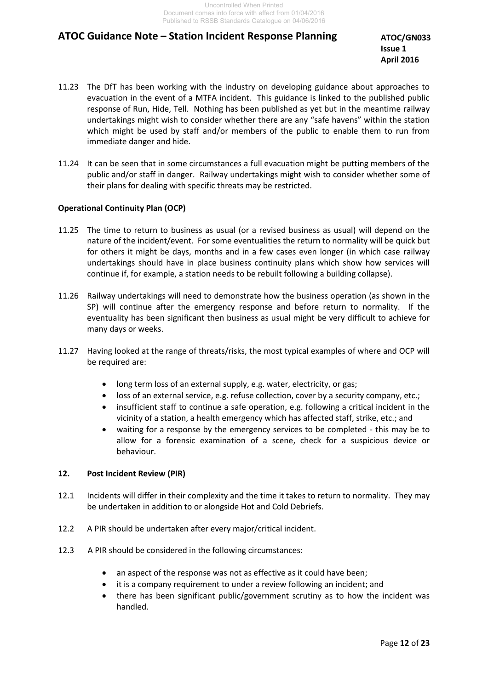**ATOC/GN033 Issue 1 April 2016**

- 11.23 The DfT has been working with the industry on developing guidance about approaches to evacuation in the event of a MTFA incident. This guidance is linked to the published public response of Run, Hide, Tell. Nothing has been published as yet but in the meantime railway undertakings might wish to consider whether there are any "safe havens" within the station which might be used by staff and/or members of the public to enable them to run from immediate danger and hide.
- 11.24 It can be seen that in some circumstances a full evacuation might be putting members of the public and/or staff in danger. Railway undertakings might wish to consider whether some of their plans for dealing with specific threats may be restricted.

#### **Operational Continuity Plan (OCP)**

- 11.25 The time to return to business as usual (or a revised business as usual) will depend on the nature of the incident/event. For some eventualities the return to normality will be quick but for others it might be days, months and in a few cases even longer (in which case railway undertakings should have in place business continuity plans which show how services will continue if, for example, a station needs to be rebuilt following a building collapse).
- 11.26 Railway undertakings will need to demonstrate how the business operation (as shown in the SP) will continue after the emergency response and before return to normality. If the eventuality has been significant then business as usual might be very difficult to achieve for many days or weeks.
- 11.27 Having looked at the range of threats/risks, the most typical examples of where and OCP will be required are:
	- long term loss of an external supply, e.g. water, electricity, or gas;
	- loss of an external service, e.g. refuse collection, cover by a security company, etc.;
	- insufficient staff to continue a safe operation, e.g. following a critical incident in the vicinity of a station, a health emergency which has affected staff, strike, etc.; and
	- waiting for a response by the emergency services to be completed this may be to allow for a forensic examination of a scene, check for a suspicious device or behaviour.

#### **12. Post Incident Review (PIR)**

- 12.1 Incidents will differ in their complexity and the time it takes to return to normality. They may be undertaken in addition to or alongside Hot and Cold Debriefs.
- 12.2 A PIR should be undertaken after every major/critical incident.
- 12.3 A PIR should be considered in the following circumstances:
	- an aspect of the response was not as effective as it could have been;
	- it is a company requirement to under a review following an incident; and
	- there has been significant public/government scrutiny as to how the incident was handled.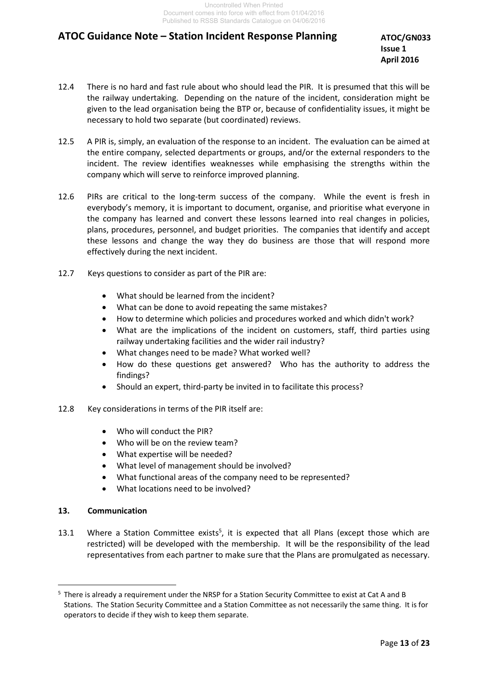**ATOC/GN033 Issue 1 April 2016**

- 12.4 There is no hard and fast rule about who should lead the PIR. It is presumed that this will be the railway undertaking. Depending on the nature of the incident, consideration might be given to the lead organisation being the BTP or, because of confidentiality issues, it might be necessary to hold two separate (but coordinated) reviews.
- 12.5 A PIR is, simply, an evaluation of the response to an incident. The evaluation can be aimed at the entire company, selected departments or groups, and/or the external responders to the incident. The review identifies weaknesses while emphasising the strengths within the company which will serve to reinforce improved planning.
- 12.6 PIRs are critical to the long-term success of the company. While the event is fresh in everybody's memory, it is important to document, organise, and prioritise what everyone in the company has learned and convert these lessons learned into real changes in policies, plans, procedures, personnel, and budget priorities. The companies that identify and accept these lessons and change the way they do business are those that will respond more effectively during the next incident.
- 12.7 Keys questions to consider as part of the PIR are:
	- What should be learned from the incident?
	- What can be done to avoid repeating the same mistakes?
	- How to determine which policies and procedures worked and which didn't work?
	- What are the implications of the incident on customers, staff, third parties using railway undertaking facilities and the wider rail industry?
	- What changes need to be made? What worked well?
	- How do these questions get answered? Who has the authority to address the findings?
	- Should an expert, third-party be invited in to facilitate this process?
- 12.8 Key considerations in terms of the PIR itself are:
	- Who will conduct the PIR?
	- Who will be on the review team?
	- What expertise will be needed?
	- What level of management should be involved?
	- What functional areas of the company need to be represented?
	- What locations need to be involved?

#### **13. Communication**

 $\overline{a}$ 

13.1 Where a Station Committee exists<sup>5</sup>, it is expected that all Plans (except those which are restricted) will be developed with the membership. It will be the responsibility of the lead representatives from each partner to make sure that the Plans are promulgated as necessary.

<sup>&</sup>lt;sup>5</sup> There is already a requirement under the NRSP for a Station Security Committee to exist at Cat A and B Stations. The Station Security Committee and a Station Committee as not necessarily the same thing. It is for operators to decide if they wish to keep them separate.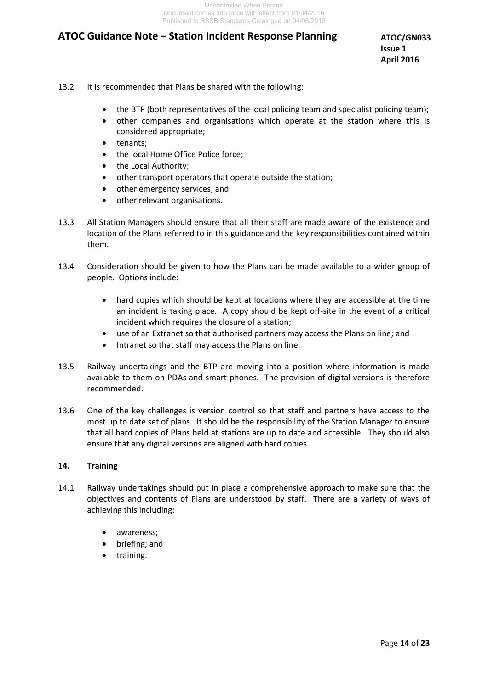**ATOC/GN033 Issue 1 April 2016**

- 13.2 It is recommended that Plans be shared with the following:
	- the BTP (both representatives of the local policing team and specialist policing team);
	- other companies and organisations which operate at the station where this is considered appropriate;
	- tenants;
	- the local Home Office Police force;
	- the Local Authority;
	- other transport operators that operate outside the station;
	- other emergency services; and
	- other relevant organisations.
- 13.3 All Station Managers should ensure that all their staff are made aware of the existence and location of the Plans referred to in this guidance and the key responsibilities contained within them.
- 13.4 Consideration should be given to how the Plans can be made available to a wider group of people. Options include:
	- hard copies which should be kept at locations where they are accessible at the time an incident is taking place. A copy should be kept off-site in the event of a critical incident which requires the closure of a station;
	- use of an Extranet so that authorised partners may access the Plans on line; and
	- Intranet so that staff may access the Plans on line.
- 13.5 Railway undertakings and the BTP are moving into a position where information is made available to them on PDAs and smart phones. The provision of digital versions is therefore recommended.
- 13.6 One of the key challenges is version control so that staff and partners have access to the most up to date set of plans. It should be the responsibility of the Station Manager to ensure that all hard copies of Plans held at stations are up to date and accessible. They should also ensure that any digital versions are aligned with hard copies.

#### **14. Training**

- 14.1 Railway undertakings should put in place a comprehensive approach to make sure that the objectives and contents of Plans are understood by staff. There are a variety of ways of achieving this including:
	- awareness;
	- briefing; and
	- training.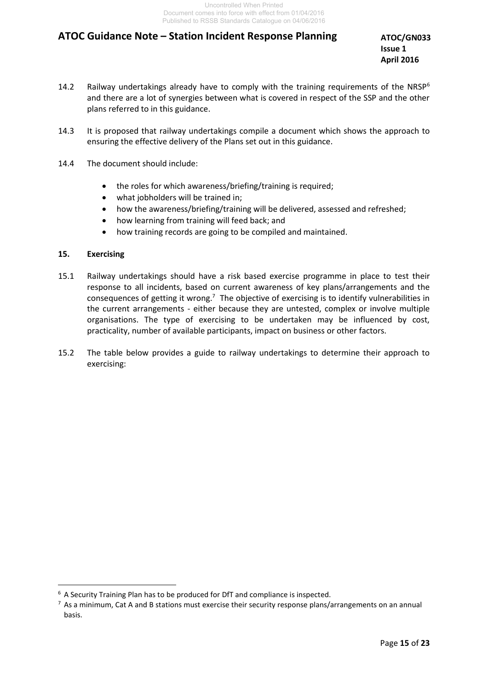**ATOC/GN033 Issue 1 April 2016**

- 14.2 Railway undertakings already have to comply with the training requirements of the NRSP<sup>6</sup> and there are a lot of synergies between what is covered in respect of the SSP and the other plans referred to in this guidance.
- 14.3 It is proposed that railway undertakings compile a document which shows the approach to ensuring the effective delivery of the Plans set out in this guidance.
- 14.4 The document should include:
	- the roles for which awareness/briefing/training is required;
	- what jobholders will be trained in;
	- how the awareness/briefing/training will be delivered, assessed and refreshed;
	- how learning from training will feed back; and
	- how training records are going to be compiled and maintained.

#### **15. Exercising**

 $\overline{a}$ 

- 15.1 Railway undertakings should have a risk based exercise programme in place to test their response to all incidents, based on current awareness of key plans/arrangements and the consequences of getting it wrong.<sup>7</sup> The objective of exercising is to identify vulnerabilities in the current arrangements - either because they are untested, complex or involve multiple organisations. The type of exercising to be undertaken may be influenced by cost, practicality, number of available participants, impact on business or other factors.
- 15.2 The table below provides a guide to railway undertakings to determine their approach to exercising:

<sup>&</sup>lt;sup>6</sup> A Security Training Plan has to be produced for DfT and compliance is inspected.

 $<sup>7</sup>$  As a minimum, Cat A and B stations must exercise their security response plans/arrangements on an annual</sup> basis.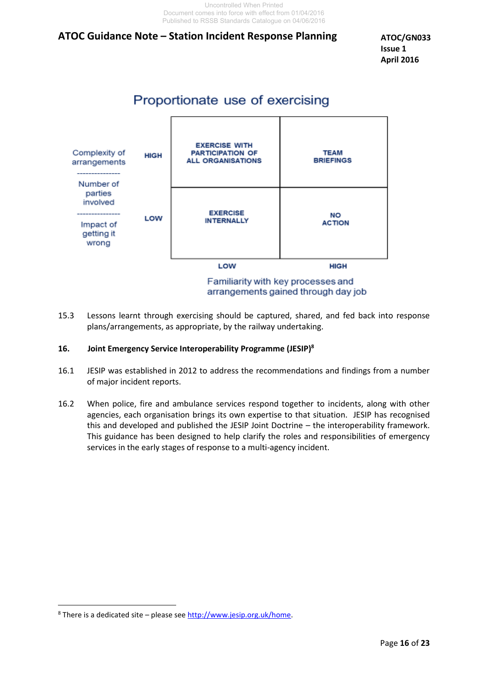**ATOC/GN033 Issue 1 April 2016**

# Proportionate use of exercising



15.3 Lessons learnt through exercising should be captured, shared, and fed back into response plans/arrangements, as appropriate, by the railway undertaking.

#### **16. Joint Emergency Service Interoperability Programme (JESIP)<sup>8</sup>**

- 16.1 JESIP was established in 2012 to address the recommendations and findings from a number of major incident reports.
- 16.2 When police, fire and ambulance services respond together to incidents, along with other agencies, each organisation brings its own expertise to that situation. JESIP has recognised this and developed and published the JESIP Joint Doctrine – the interoperability framework. This guidance has been designed to help clarify the roles and responsibilities of emergency services in the early stages of response to a multi-agency incident.

 $\overline{a}$ 

<sup>&</sup>lt;sup>8</sup> There is a dedicated site – please see [http://www.jesip.org.uk/home.](http://www.jesip.org.uk/home)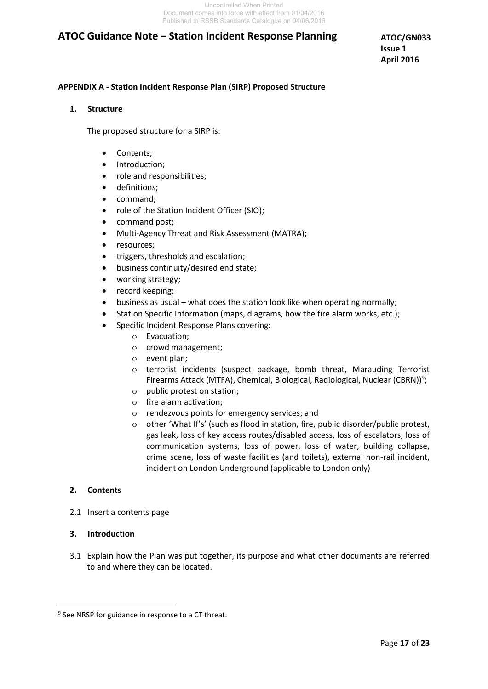**ATOC/GN033 Issue 1 April 2016**

#### **APPENDIX A - Station Incident Response Plan (SIRP) Proposed Structure**

#### **1. Structure**

The proposed structure for a SIRP is:

- Contents:
- Introduction;
- role and responsibilities;
- definitions;
- command:
- role of the Station Incident Officer (SIO);
- command post;
- Multi-Agency Threat and Risk Assessment (MATRA);
- resources;
- triggers, thresholds and escalation;
- **•** business continuity/desired end state;
- working strategy;
- record keeping;
- business as usual what does the station look like when operating normally;
- Station Specific Information (maps, diagrams, how the fire alarm works, etc.);
- Specific Incident Response Plans covering:
	- o Evacuation;
	- o crowd management;
	- o event plan;
	- $\circ$  terrorist incidents (suspect package, bomb threat, Marauding Terrorist Firearms Attack (MTFA), Chemical, Biological, Radiological, Nuclear (CBRN))<sup>9</sup>;
	- o public protest on station;
	- o fire alarm activation;
	- o rendezvous points for emergency services; and
	- $\circ$  other 'What If's' (such as flood in station, fire, public disorder/public protest, gas leak, loss of key access routes/disabled access, loss of escalators, loss of communication systems, loss of power, loss of water, building collapse, crime scene, loss of waste facilities (and toilets), external non-rail incident, incident on London Underground (applicable to London only)

#### **2. Contents**

2.1 Insert a contents page

#### **3. Introduction**

 $\overline{a}$ 

3.1 Explain how the Plan was put together, its purpose and what other documents are referred to and where they can be located.

<sup>&</sup>lt;sup>9</sup> See NRSP for guidance in response to a CT threat.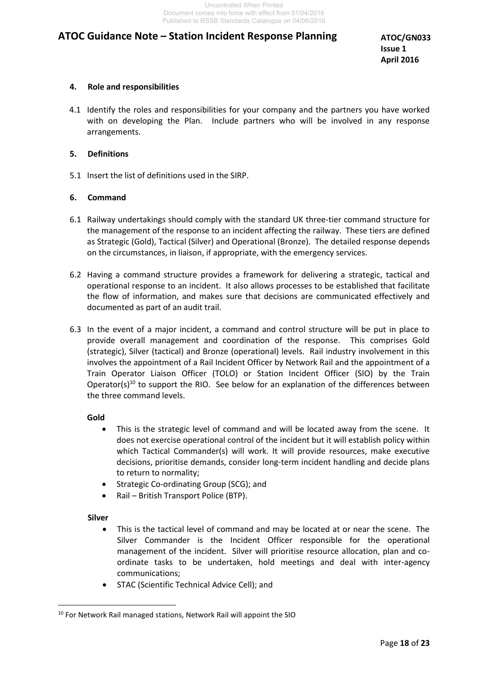**ATOC/GN033 Issue 1 April 2016**

#### **4. Role and responsibilities**

4.1 Identify the roles and responsibilities for your company and the partners you have worked with on developing the Plan. Include partners who will be involved in any response arrangements.

#### **5. Definitions**

5.1 Insert the list of definitions used in the SIRP.

#### **6. Command**

- 6.1 Railway undertakings should comply with the standard UK three-tier command structure for the management of the response to an incident affecting the railway. These tiers are defined as Strategic (Gold), Tactical (Silver) and Operational (Bronze). The detailed response depends on the circumstances, in liaison, if appropriate, with the emergency services.
- 6.2 Having a command structure provides a framework for delivering a strategic, tactical and operational response to an incident. It also allows processes to be established that facilitate the flow of information, and makes sure that decisions are communicated effectively and documented as part of an audit trail.
- 6.3 In the event of a major incident, a command and control structure will be put in place to provide overall management and coordination of the response. This comprises Gold (strategic), Silver (tactical) and Bronze (operational) levels. Rail industry involvement in this involves the appointment of a Rail Incident Officer by Network Rail and the appointment of a Train Operator Liaison Officer (TOLO) or Station Incident Officer (SIO) by the Train Operator(s)<sup>10</sup> to support the RIO. See below for an explanation of the differences between the three command levels.

#### **Gold**

- This is the strategic level of command and will be located away from the scene. It does not exercise operational control of the incident but it will establish policy within which Tactical Commander(s) will work. It will provide resources, make executive decisions, prioritise demands, consider long-term incident handling and decide plans to return to normality;
- Strategic Co-ordinating Group (SCG); and
- Rail British Transport Police (BTP).

#### **Silver**

 $\overline{a}$ 

- This is the tactical level of command and may be located at or near the scene. The Silver Commander is the Incident Officer responsible for the operational management of the incident. Silver will prioritise resource allocation, plan and coordinate tasks to be undertaken, hold meetings and deal with inter-agency communications;
- STAC (Scientific Technical Advice Cell); and

<sup>&</sup>lt;sup>10</sup> For Network Rail managed stations, Network Rail will appoint the SIO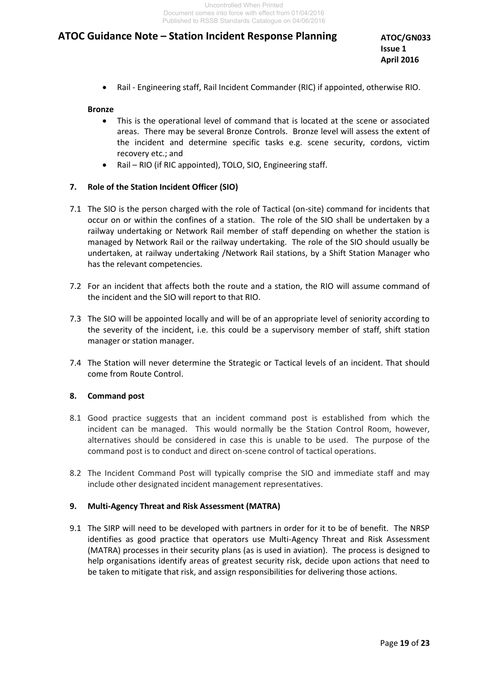**ATOC/GN033 Issue 1 April 2016**

Rail - Engineering staff, Rail Incident Commander (RIC) if appointed, otherwise RIO.

#### **Bronze**

- This is the operational level of command that is located at the scene or associated areas. There may be several Bronze Controls. Bronze level will assess the extent of the incident and determine specific tasks e.g. scene security, cordons, victim recovery etc.; and
- Rail RIO (if RIC appointed), TOLO, SIO, Engineering staff.

#### **7. Role of the Station Incident Officer (SIO)**

- 7.1 The SIO is the person charged with the role of Tactical (on-site) command for incidents that occur on or within the confines of a station. The role of the SIO shall be undertaken by a railway undertaking or Network Rail member of staff depending on whether the station is managed by Network Rail or the railway undertaking. The role of the SIO should usually be undertaken, at railway undertaking /Network Rail stations, by a Shift Station Manager who has the relevant competencies.
- 7.2 For an incident that affects both the route and a station, the RIO will assume command of the incident and the SIO will report to that RIO.
- 7.3 The SIO will be appointed locally and will be of an appropriate level of seniority according to the severity of the incident, i.e. this could be a supervisory member of staff, shift station manager or station manager.
- 7.4 The Station will never determine the Strategic or Tactical levels of an incident. That should come from Route Control.

#### **8. Command post**

- 8.1 Good practice suggests that an incident command post is established from which the incident can be managed. This would normally be the Station Control Room, however, alternatives should be considered in case this is unable to be used. The purpose of the command post is to conduct and direct on-scene control of tactical operations.
- 8.2 The Incident Command Post will typically comprise the SIO and immediate staff and may include other designated incident management representatives.

#### **9. Multi-Agency Threat and Risk Assessment (MATRA)**

9.1 The SIRP will need to be developed with partners in order for it to be of benefit. The NRSP identifies as good practice that operators use Multi-Agency Threat and Risk Assessment (MATRA) processes in their security plans (as is used in aviation). The process is designed to help organisations identify areas of greatest security risk, decide upon actions that need to be taken to mitigate that risk, and assign responsibilities for delivering those actions.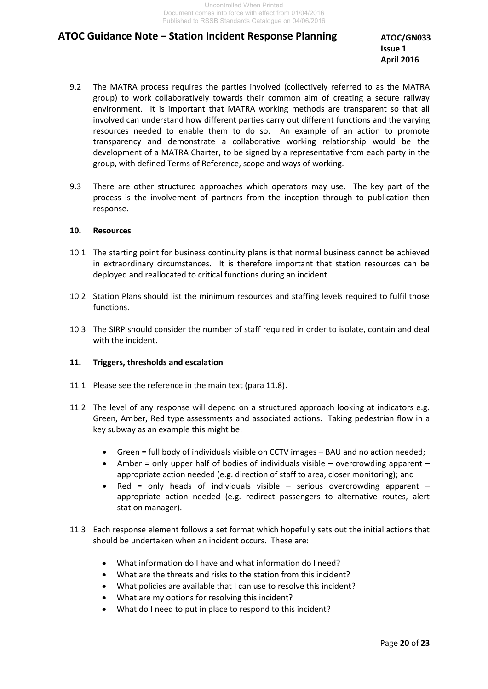**ATOC/GN033 Issue 1 April 2016**

- 9.2 The MATRA process requires the parties involved (collectively referred to as the MATRA group) to work collaboratively towards their common aim of creating a secure railway environment. It is important that MATRA working methods are transparent so that all involved can understand how different parties carry out different functions and the varying resources needed to enable them to do so. An example of an action to promote transparency and demonstrate a collaborative working relationship would be the development of a MATRA Charter, to be signed by a representative from each party in the group, with defined Terms of Reference, scope and ways of working.
- 9.3 There are other structured approaches which operators may use. The key part of the process is the involvement of partners from the inception through to publication then response.

#### **10. Resources**

- 10.1 The starting point for business continuity plans is that normal business cannot be achieved in extraordinary circumstances. It is therefore important that station resources can be deployed and reallocated to critical functions during an incident.
- 10.2 Station Plans should list the minimum resources and staffing levels required to fulfil those functions.
- 10.3 The SIRP should consider the number of staff required in order to isolate, contain and deal with the incident.

#### **11. Triggers, thresholds and escalation**

- 11.1 Please see the reference in the main text (para 11.8).
- 11.2 The level of any response will depend on a structured approach looking at indicators e.g. Green, Amber, Red type assessments and associated actions. Taking pedestrian flow in a key subway as an example this might be:
	- Green = full body of individuals visible on CCTV images BAU and no action needed;
	- Amber = only upper half of bodies of individuals visible  $-$  overcrowding apparent  $$ appropriate action needed (e.g. direction of staff to area, closer monitoring); and
	- Red = only heads of individuals visible  $-$  serious overcrowding apparent  $$ appropriate action needed (e.g. redirect passengers to alternative routes, alert station manager).
- 11.3 Each response element follows a set format which hopefully sets out the initial actions that should be undertaken when an incident occurs. These are:
	- What information do I have and what information do I need?
	- What are the threats and risks to the station from this incident?
	- What policies are available that I can use to resolve this incident?
	- What are my options for resolving this incident?
	- What do I need to put in place to respond to this incident?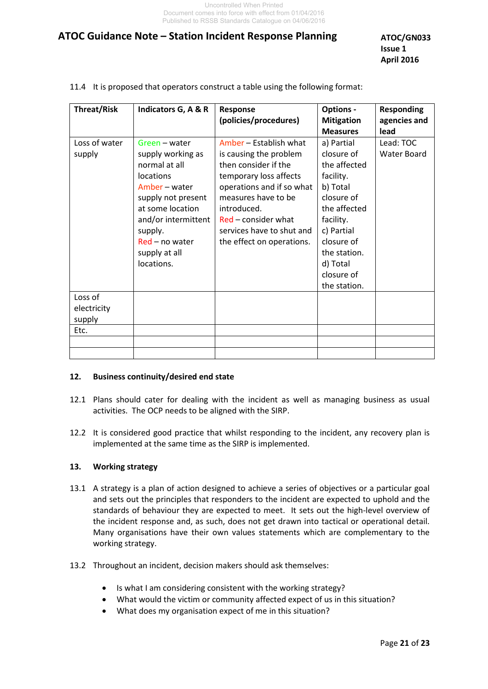**ATOC/GN033 Issue 1 April 2016**

| <b>Threat/Risk</b>      | Indicators G, A & R                                                                                                                                                                                            | Response<br>(policies/procedures)                                                                                                                                                                                                                        | <b>Options -</b><br><b>Mitigation</b>                                                                                                                                                              | <b>Responding</b><br>agencies and |
|-------------------------|----------------------------------------------------------------------------------------------------------------------------------------------------------------------------------------------------------------|----------------------------------------------------------------------------------------------------------------------------------------------------------------------------------------------------------------------------------------------------------|----------------------------------------------------------------------------------------------------------------------------------------------------------------------------------------------------|-----------------------------------|
|                         |                                                                                                                                                                                                                |                                                                                                                                                                                                                                                          | <b>Measures</b>                                                                                                                                                                                    | lead                              |
| Loss of water<br>supply | Green - water<br>supply working as<br>normal at all<br>locations<br>Amber – water<br>supply not present<br>at some location<br>and/or intermittent<br>supply.<br>Red – no water<br>supply at all<br>locations. | Amber – Establish what<br>is causing the problem<br>then consider if the<br>temporary loss affects<br>operations and if so what<br>measures have to be<br>introduced.<br>$Red$ – consider what<br>services have to shut and<br>the effect on operations. | a) Partial<br>closure of<br>the affected<br>facility.<br>b) Total<br>closure of<br>the affected<br>facility.<br>c) Partial<br>closure of<br>the station.<br>d) Total<br>closure of<br>the station. | Lead: TOC<br>Water Board          |
| Loss of                 |                                                                                                                                                                                                                |                                                                                                                                                                                                                                                          |                                                                                                                                                                                                    |                                   |
| electricity             |                                                                                                                                                                                                                |                                                                                                                                                                                                                                                          |                                                                                                                                                                                                    |                                   |
| supply                  |                                                                                                                                                                                                                |                                                                                                                                                                                                                                                          |                                                                                                                                                                                                    |                                   |
| Etc.                    |                                                                                                                                                                                                                |                                                                                                                                                                                                                                                          |                                                                                                                                                                                                    |                                   |
|                         |                                                                                                                                                                                                                |                                                                                                                                                                                                                                                          |                                                                                                                                                                                                    |                                   |
|                         |                                                                                                                                                                                                                |                                                                                                                                                                                                                                                          |                                                                                                                                                                                                    |                                   |

11.4 It is proposed that operators construct a table using the following format:

#### **12. Business continuity/desired end state**

- 12.1 Plans should cater for dealing with the incident as well as managing business as usual activities. The OCP needs to be aligned with the SIRP.
- 12.2 It is considered good practice that whilst responding to the incident, any recovery plan is implemented at the same time as the SIRP is implemented.

#### **13. Working strategy**

- 13.1 A strategy is a plan of action designed to achieve a series of objectives or a particular goal and sets out the principles that responders to the incident are expected to uphold and the standards of behaviour they are expected to meet. It sets out the high-level overview of the incident response and, as such, does not get drawn into tactical or operational detail. Many organisations have their own values statements which are complementary to the working strategy.
- 13.2 Throughout an incident, decision makers should ask themselves:
	- Is what I am considering consistent with the working strategy?
	- What would the victim or community affected expect of us in this situation?
	- What does my organisation expect of me in this situation?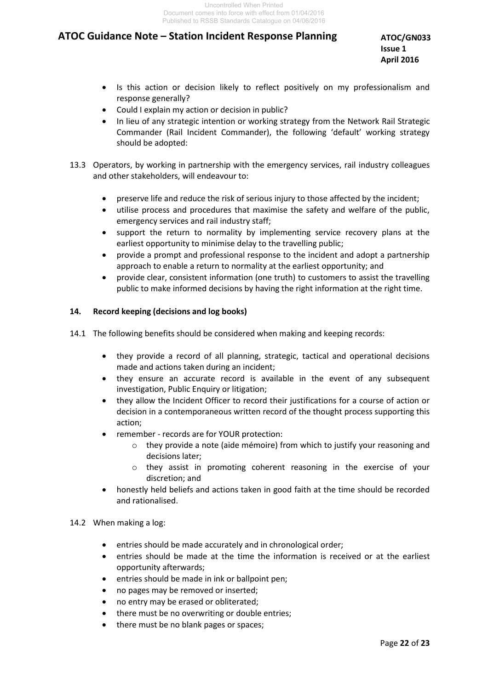**ATOC/GN033 Issue 1 April 2016**

- Is this action or decision likely to reflect positively on my professionalism and response generally?
- Could I explain my action or decision in public?
- In lieu of any strategic intention or working strategy from the Network Rail Strategic Commander (Rail Incident Commander), the following 'default' working strategy should be adopted:
- 13.3 Operators, by working in partnership with the emergency services, rail industry colleagues and other stakeholders, will endeavour to:
	- preserve life and reduce the risk of serious injury to those affected by the incident;
	- utilise process and procedures that maximise the safety and welfare of the public, emergency services and rail industry staff;
	- support the return to normality by implementing service recovery plans at the earliest opportunity to minimise delay to the travelling public;
	- provide a prompt and professional response to the incident and adopt a partnership approach to enable a return to normality at the earliest opportunity; and
	- provide clear, consistent information (one truth) to customers to assist the travelling public to make informed decisions by having the right information at the right time.

#### **14. Record keeping (decisions and log books)**

- 14.1 The following benefits should be considered when making and keeping records:
	- they provide a record of all planning, strategic, tactical and operational decisions made and actions taken during an incident;
	- they ensure an accurate record is available in the event of any subsequent investigation, Public Enquiry or litigation;
	- they allow the Incident Officer to record their justifications for a course of action or decision in a contemporaneous written record of the thought process supporting this action;
	- remember records are for YOUR protection:
		- $\circ$  they provide a note (aide mémoire) from which to justify your reasoning and decisions later;
		- o they assist in promoting coherent reasoning in the exercise of your discretion; and
	- honestly held beliefs and actions taken in good faith at the time should be recorded and rationalised.

#### 14.2 When making a log:

- entries should be made accurately and in chronological order;
- entries should be made at the time the information is received or at the earliest opportunity afterwards;
- entries should be made in ink or ballpoint pen;
- no pages may be removed or inserted;
- no entry may be erased or obliterated;
- there must be no overwriting or double entries;
- there must be no blank pages or spaces;